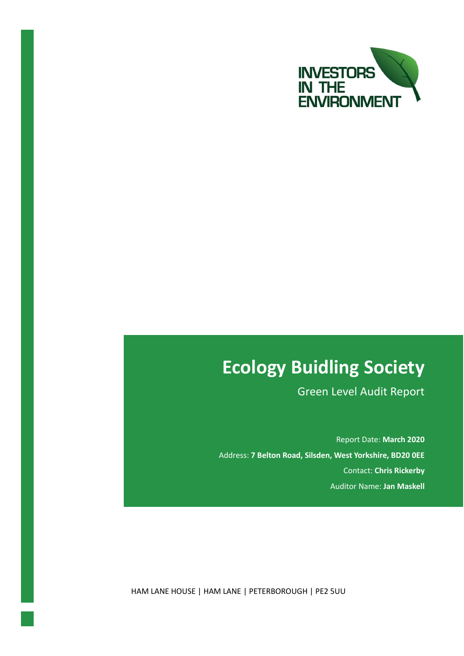

# **Ecology Buidling Society**

Green Level Audit Report

Report Date: **March 2020** Address: **7 Belton Road, Silsden, West Yorkshire, BD20 0EE** Contact: **Chris Rickerby** Auditor Name: **Jan Maskell**

HAM LANE HOUSE | HAM LANE | PETERBOROUGH | PE2 5UU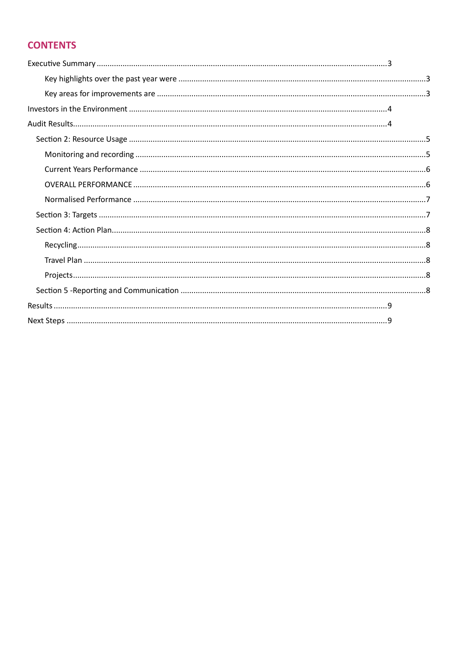# **CONTENTS**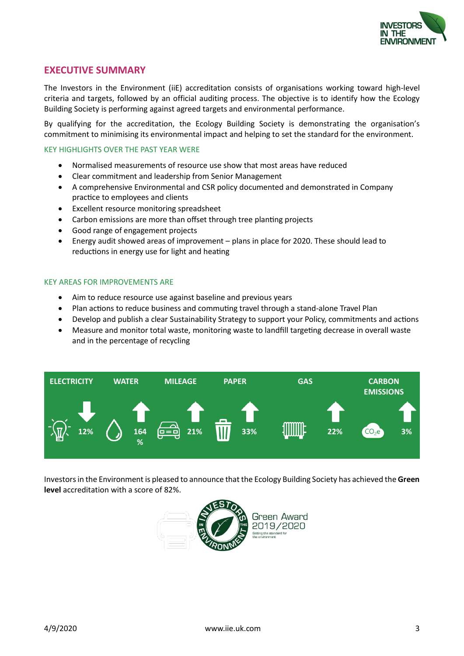

# <span id="page-2-0"></span>**EXECUTIVE SUMMARY**

The Investors in the Environment (iiE) accreditation consists of organisations working toward high-level criteria and targets, followed by an official auditing process. The objective is to identify how the Ecology Building Society is performing against agreed targets and environmental performance.

By qualifying for the accreditation, the Ecology Building Society is demonstrating the organisation's commitment to minimising its environmental impact and helping to set the standard for the environment.

#### <span id="page-2-1"></span>KEY HIGHLIGHTS OVER THE PAST YEAR WERE

- Normalised measurements of resource use show that most areas have reduced
- Clear commitment and leadership from Senior Management
- A comprehensive Environmental and CSR policy documented and demonstrated in Company practice to employees and clients
- Excellent resource monitoring spreadsheet
- Carbon emissions are more than offset through tree planting projects
- Good range of engagement projects
- Energy audit showed areas of improvement plans in place for 2020. These should lead to reductions in energy use for light and heating

#### <span id="page-2-2"></span>KEY AREAS FOR IMPROVEMENTS ARE

- Aim to reduce resource use against baseline and previous years
- Plan actions to reduce business and commuting travel through a stand-alone Travel Plan
- Develop and publish a clear Sustainability Strategy to support your Policy, commitments and actions
- Measure and monitor total waste, monitoring waste to landfill targeting decrease in overall waste and in the percentage of recycling



Investors in the Environment is pleased to announce that the Ecology Building Society has achieved the **Green level** accreditation with a score of 82%.

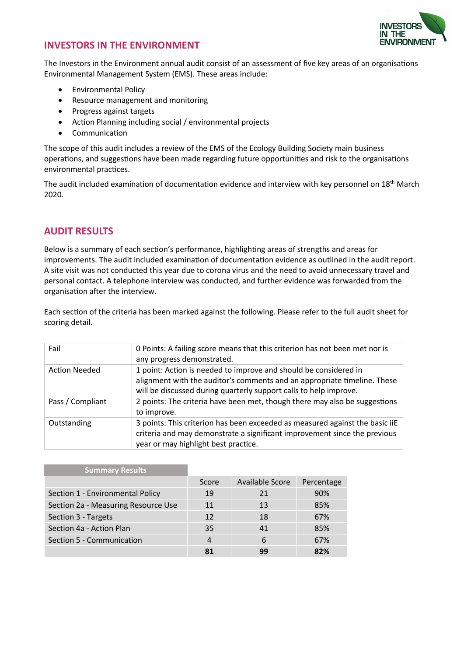

# <span id="page-3-0"></span>**INVESTORS IN THE ENVIRONMENT**

The Investors in the Environment annual audit consist of an assessment of five key areas of an organisations Environmental Management System (EMS). These areas include:

- Environmental Policy
- Resource management and monitoring
- Progress against targets
- Action Planning including social / environmental projects
- Communication

The scope of this audit includes a review of the EMS of the Ecology Building Society main business operations, and suggestions have been made regarding future opportunities and risk to the organisations environmental practices.

The audit included examination of documentation evidence and interview with key personnel on 18th March 2020.

# <span id="page-3-1"></span>**AUDIT RESULTS**

Below is a summary of each section's performance, highlighting areas of strengths and areas for improvements. The audit included examination of documentation evidence as outlined in the audit report. A site visit was not conducted this year due to corona virus and the need to avoid unnecessary travel and personal contact. A telephone interview was conducted, and further evidence was forwarded from the organisation after the interview.

Each section of the criteria has been marked against the following. Please refer to the full audit sheet for scoring detail.

| Fail                 | 0 Points: A failing score means that this criterion has not been met nor is<br>any progress demonstrated.                                                                                                         |
|----------------------|-------------------------------------------------------------------------------------------------------------------------------------------------------------------------------------------------------------------|
| <b>Action Needed</b> | 1 point: Action is needed to improve and should be considered in<br>alignment with the auditor's comments and an appropriate timeline. These<br>will be discussed during quarterly support calls to help improve. |
| Pass / Compliant     | 2 points: The criteria have been met, though there may also be suggestions<br>to improve.                                                                                                                         |
| Outstanding          | 3 points: This criterion has been exceeded as measured against the basic iiE<br>criteria and may demonstrate a significant improvement since the previous<br>year or may highlight best practice.                 |

| <b>Summary Results</b>              |                |                 |            |
|-------------------------------------|----------------|-----------------|------------|
|                                     | Score          | Available Score | Percentage |
| Section 1 - Environmental Policy    | 19             | 21              | 90%        |
| Section 2a - Measuring Resource Use | 11             | 13              | 85%        |
| Section 3 - Targets                 | 12             | 18              | 67%        |
| Section 4a - Action Plan            | 35             | 41              | 85%        |
| Section 5 - Communication           | $\overline{4}$ | 6               | 67%        |
|                                     | 81             | 99              | 82%        |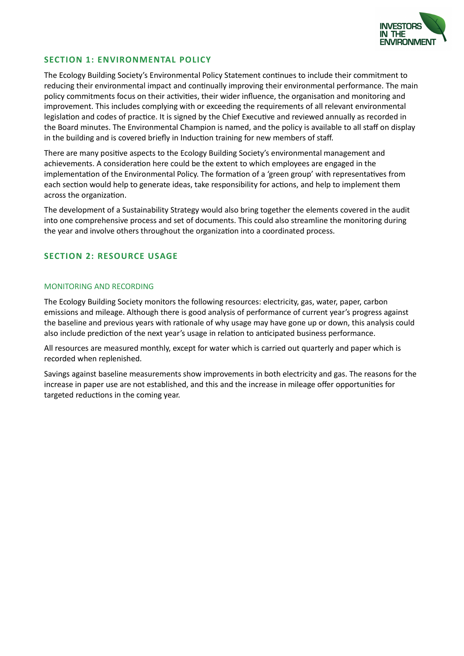

## **SECTION 1: ENVIRONMENTAL POLICY**

The Ecology Building Society's Environmental Policy Statement continues to include their commitment to reducing their environmental impact and continually improving their environmental performance. The main policy commitments focus on their activities, their wider influence, the organisation and monitoring and improvement. This includes complying with or exceeding the requirements of all relevant environmental legislation and codes of practice. It is signed by the Chief Executive and reviewed annually as recorded in the Board minutes. The Environmental Champion is named, and the policy is available to all staff on display in the building and is covered briefly in Induction training for new members of staff.

There are many positive aspects to the Ecology Building Society's environmental management and achievements. A consideration here could be the extent to which employees are engaged in the implementation of the Environmental Policy. The formation of a 'green group' with representatives from each section would help to generate ideas, take responsibility for actions, and help to implement them across the organization.

The development of a Sustainability Strategy would also bring together the elements covered in the audit into one comprehensive process and set of documents. This could also streamline the monitoring during the year and involve others throughout the organization into a coordinated process.

## <span id="page-4-0"></span>**SECTION 2: RESOURCE USAGE**

### <span id="page-4-1"></span>MONITORING AND RECORDING

The Ecology Building Society monitors the following resources: electricity, gas, water, paper, carbon emissions and mileage. Although there is good analysis of performance of current year's progress against the baseline and previous years with rationale of why usage may have gone up or down, this analysis could also include prediction of the next year's usage in relation to anticipated business performance.

All resources are measured monthly, except for water which is carried out quarterly and paper which is recorded when replenished.

Savings against baseline measurements show improvements in both electricity and gas. The reasons for the increase in paper use are not established, and this and the increase in mileage offer opportunities for targeted reductions in the coming year.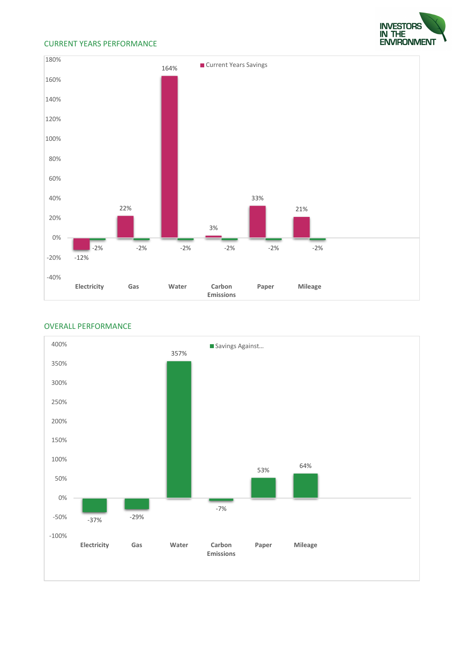#### <span id="page-5-0"></span>CURRENT YEARS PERFORMANCE



#### <span id="page-5-1"></span>OVERALL PERFORMANCE



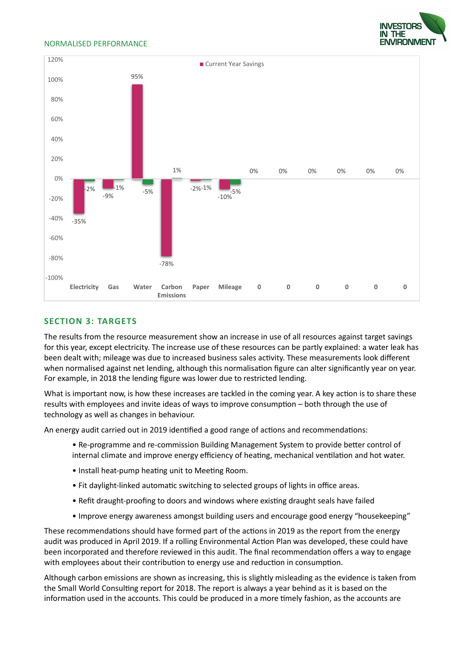

#### <span id="page-6-0"></span>NORMALISED PERFORMANCE



#### <span id="page-6-1"></span>**SECTION 3: TARGETS**

The results from the resource measurement show an increase in use of all resources against target savings for this year, except electricity. The increase use of these resources can be partly explained: a water leak has been dealt with; mileage was due to increased business sales activity. These measurements look different when normalised against net lending, although this normalisation figure can alter significantly year on year. For example, in 2018 the lending figure was lower due to restricted lending.

What is important now, is how these increases are tackled in the coming year. A key action is to share these results with employees and invite ideas of ways to improve consumption – both through the use of technology as well as changes in behaviour.

An energy audit carried out in 2019 identified a good range of actions and recommendations:

- Re-programme and re-commission Building Management System to provide better control of internal climate and improve energy efficiency of heating, mechanical ventilation and hot water.
- Install heat-pump heating unit to Meeting Room.
- Fit daylight-linked automatic switching to selected groups of lights in office areas.
- Refit draught-proofing to doors and windows where existing draught seals have failed
- Improve energy awareness amongst building users and encourage good energy "housekeeping"

These recommendations should have formed part of the actions in 2019 as the report from the energy audit was produced in April 2019. If a rolling Environmental Action Plan was developed, these could have been incorporated and therefore reviewed in this audit. The final recommendation offers a way to engage with employees about their contribution to energy use and reduction in consumption.

Although carbon emissions are shown as increasing, this is slightly misleading as the evidence is taken from the Small World Consulting report for 2018. The report is always a year behind as it is based on the information used in the accounts. This could be produced in a more timely fashion, as the accounts are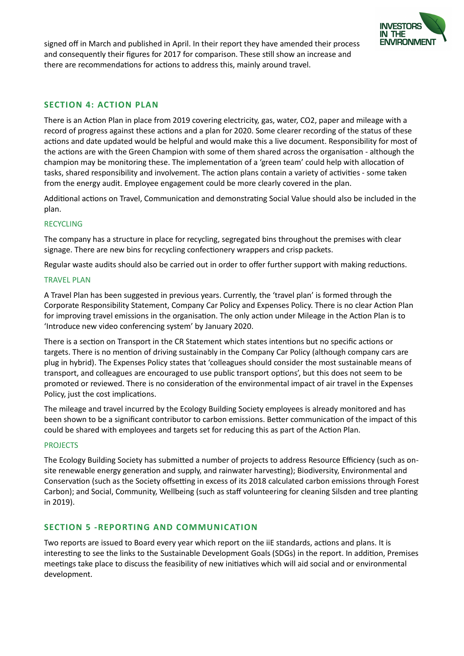

signed off in March and published in April. In their report they have amended their process and consequently their figures for 2017 for comparison. These still show an increase and there are recommendations for actions to address this, mainly around travel.

## <span id="page-7-0"></span>**SECTION 4: ACTION PLAN**

There is an Action Plan in place from 2019 covering electricity, gas, water, CO2, paper and mileage with a record of progress against these actions and a plan for 2020. Some clearer recording of the status of these actions and date updated would be helpful and would make this a live document. Responsibility for most of the actions are with the Green Champion with some of them shared across the organisation - although the champion may be monitoring these. The implementation of a 'green team' could help with allocation of tasks, shared responsibility and involvement. The action plans contain a variety of activities - some taken from the energy audit. Employee engagement could be more clearly covered in the plan.

Additional actions on Travel, Communication and demonstrating Social Value should also be included in the plan.

#### <span id="page-7-1"></span>RECYCLING

The company has a structure in place for recycling, segregated bins throughout the premises with clear signage. There are new bins for recycling confectionery wrappers and crisp packets.

Regular waste audits should also be carried out in order to offer further support with making reductions.

#### <span id="page-7-2"></span>TRAVEL PLAN

A Travel Plan has been suggested in previous years. Currently, the 'travel plan' is formed through the Corporate Responsibility Statement, Company Car Policy and Expenses Policy. There is no clear Action Plan for improving travel emissions in the organisation. The only action under Mileage in the Action Plan is to 'Introduce new video conferencing system' by January 2020.

There is a section on Transport in the CR Statement which states intentions but no specific actions or targets. There is no mention of driving sustainably in the Company Car Policy (although company cars are plug in hybrid). The Expenses Policy states that 'colleagues should consider the most sustainable means of transport, and colleagues are encouraged to use public transport options', but this does not seem to be promoted or reviewed. There is no consideration of the environmental impact of air travel in the Expenses Policy, just the cost implications.

The mileage and travel incurred by the Ecology Building Society employees is already monitored and has been shown to be a significant contributor to carbon emissions. Better communication of the impact of this could be shared with employees and targets set for reducing this as part of the Action Plan.

#### <span id="page-7-3"></span>PROJECTS

The Ecology Building Society has submitted a number of projects to address Resource Efficiency (such as onsite renewable energy generation and supply, and rainwater harvesting); Biodiversity, Environmental and Conservation (such as the Society offsetting in excess of its 2018 calculated carbon emissions through Forest Carbon); and Social, Community, Wellbeing (such as staff volunteering for cleaning Silsden and tree planting in 2019).

## <span id="page-7-4"></span>**SECTION 5 -REPORTING AND COMMUNICATION**

Two reports are issued to Board every year which report on the iiE standards, actions and plans. It is interesting to see the links to the Sustainable Development Goals (SDGs) in the report. In addition, Premises meetings take place to discuss the feasibility of new initiatives which will aid social and or environmental development.